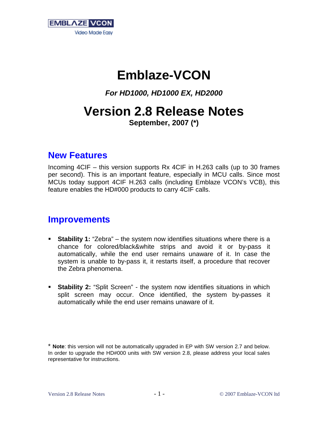

# **Emblaze-VCON**

*For HD1000, HD1000 EX, HD2000*

# **Version 2.8 Release Notes**

**September, 2007 (\*)** 

### **New Features**

Incoming 4CIF – this version supports Rx 4CIF in H.263 calls (up to 30 frames per second). This is an important feature, especially in MCU calls. Since most MCUs today support 4CIF H.263 calls (including Emblaze VCON's VCB), this feature enables the HD#000 products to carry 4CIF calls.

#### **Improvements**

- **Stability 1:** "Zebra" the system now identifies situations where there is a chance for colored/black&white strips and avoid it or by-pass it automatically, while the end user remains unaware of it. In case the system is unable to by-pass it, it restarts itself, a procedure that recover the Zebra phenomena.
- **Stability 2:** "Split Screen" the system now identifies situations in which split screen may occur. Once identified, the system by-passes it automatically while the end user remains unaware of it.

<sup>\*</sup> **Note**: this version will not be automatically upgraded in EP with SW version 2.7 and below. In order to upgrade the HD#000 units with SW version 2.8, please address your local sales representative for instructions.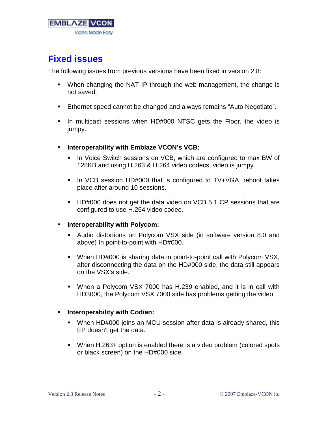

## **Fixed issues**

The following issues from previous versions have been fixed in version 2.8:

- When changing the NAT IP through the web management, the change is not saved.
- **Ethernet speed cannot be changed and always remains "Auto Negotiate".**
- In multicast sessions when HD#000 NTSC gets the Floor, the video is jumpy.
- **Interoperability with Emblaze VCON's VCB:** 
	- In Voice Switch sessions on VCB, which are configured to max BW of 128KB and using H.263 & H.264 video codecs, video is jumpy.
	- In VCB session HD#000 that is configured to TV+VGA, reboot takes place after around 10 sessions.
	- **HD#000 does not get the data video on VCB 5.1 CP sessions that are** configured to use H.264 video codec.
- **Fig. 1.** Interoperability with Polycom:
	- Audio distortions on Polycom VSX side (in software version 8.0 and above) In point-to-point with HD#000.
	- When HD#000 is sharing data in point-to-point call with Polycom VSX, after disconnecting the data on the HD#000 side, the data still appears on the VSX's side.
	- When a Polycom VSX 7000 has H.239 enabled, and it is in call with HD3000, the Polycom VSX 7000 side has problems getting the video.

#### **Fig. 1.** Interoperability with Codian:

- When HD#000 joins an MCU session after data is already shared, this EP doesn't get the data.
- When H.263+ option is enabled there is a video problem (colored spots or black screen) on the HD#000 side.